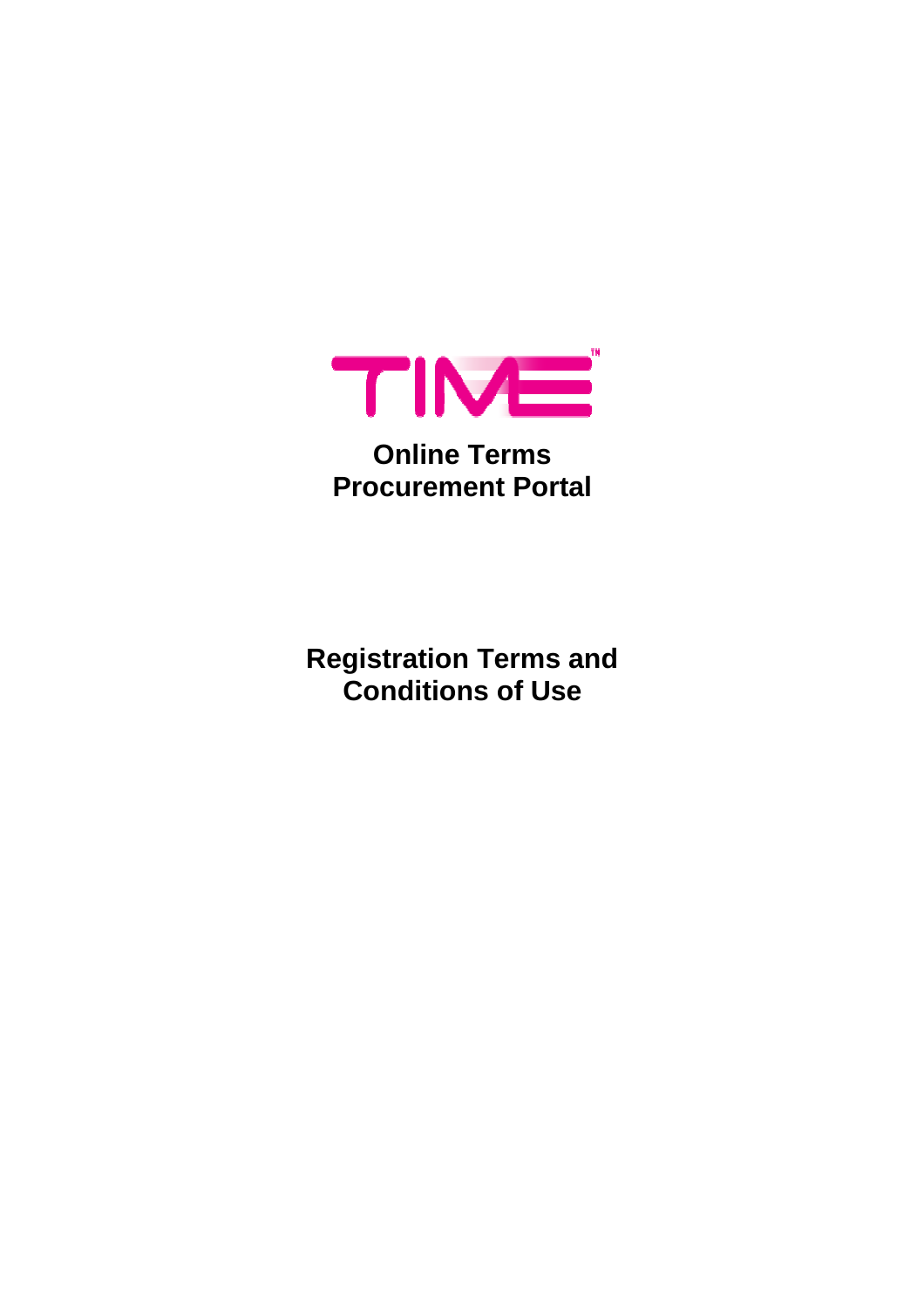

# **Online Terms Procurement Portal**

**Registration Terms and Conditions of Use**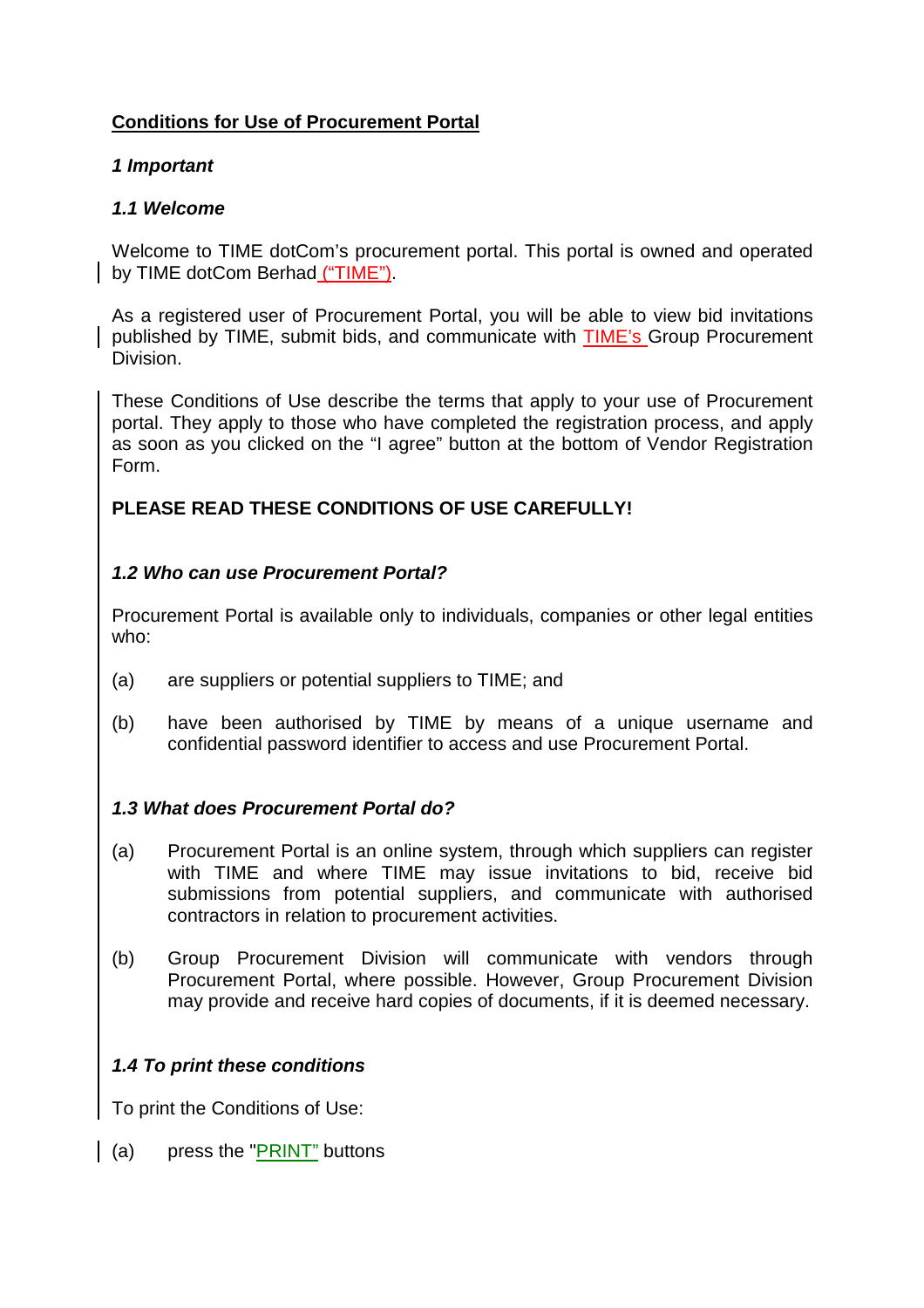# **Conditions for Use of Procurement Portal**

## **1 Important**

## **1.1 Welcome**

Welcome to TIME dotCom's procurement portal. This portal is owned and operated by TIME dotCom Berhad ("TIME").

As a registered user of Procurement Portal, you will be able to view bid invitations published by TIME, submit bids, and communicate with TIME's Group Procurement Division.

These Conditions of Use describe the terms that apply to your use of Procurement portal. They apply to those who have completed the registration process, and apply as soon as you clicked on the "I agree" button at the bottom of Vendor Registration Form.

# **PLEASE READ THESE CONDITIONS OF USE CAREFULLY!**

# **1.2 Who can use Procurement Portal?**

Procurement Portal is available only to individuals, companies or other legal entities who:

- (a) are suppliers or potential suppliers to TIME; and
- (b) have been authorised by TIME by means of a unique username and confidential password identifier to access and use Procurement Portal.

# **1.3 What does Procurement Portal do?**

- (a) Procurement Portal is an online system, through which suppliers can register with TIME and where TIME may issue invitations to bid, receive bid submissions from potential suppliers, and communicate with authorised contractors in relation to procurement activities.
- (b) Group Procurement Division will communicate with vendors through Procurement Portal, where possible. However, Group Procurement Division may provide and receive hard copies of documents, if it is deemed necessary.

# **1.4 To print these conditions**

To print the Conditions of Use:

(a) press the "PRINT" buttons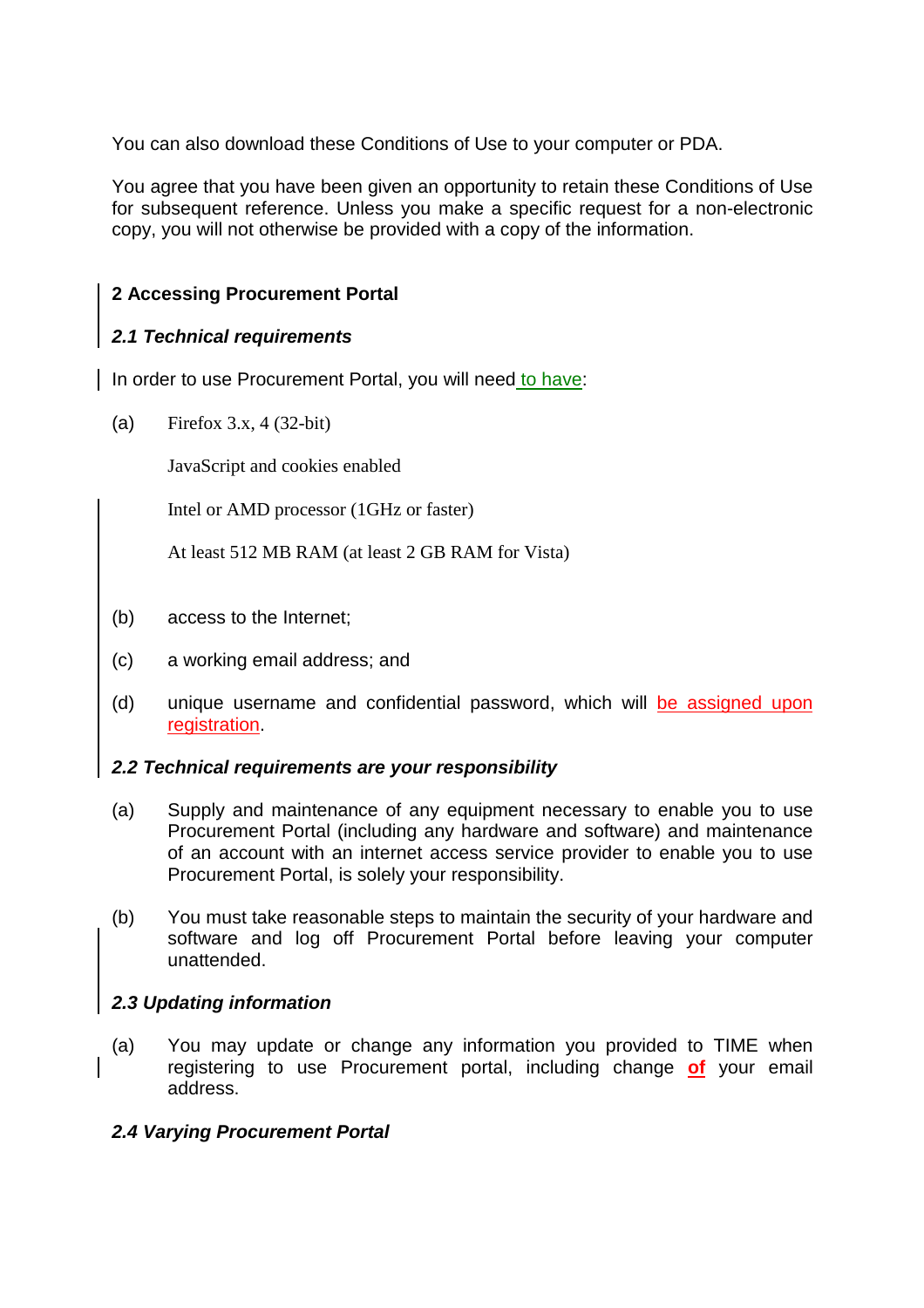You can also download these Conditions of Use to your computer or PDA.

You agree that you have been given an opportunity to retain these Conditions of Use for subsequent reference. Unless you make a specific request for a non-electronic copy, you will not otherwise be provided with a copy of the information.

# **2 Accessing Procurement Portal**

# **2.1 Technical requirements**

In order to use Procurement Portal, you will need to have:

(a) Firefox 3.x, 4 (32-bit)

JavaScript and cookies enabled

Intel or AMD processor (1GHz or faster)

At least 512 MB RAM (at least 2 GB RAM for Vista)

- (b) access to the Internet;
- (c) a working email address; and
- (d) unique username and confidential password, which will be assigned upon registration.

# **2.2 Technical requirements are your responsibility**

- (a) Supply and maintenance of any equipment necessary to enable you to use Procurement Portal (including any hardware and software) and maintenance of an account with an internet access service provider to enable you to use Procurement Portal, is solely your responsibility.
- (b) You must take reasonable steps to maintain the security of your hardware and software and log off Procurement Portal before leaving your computer unattended.

# **2.3 Updating information**

(a) You may update or change any information you provided to TIME when registering to use Procurement portal, including change **of** your email address.

# **2.4 Varying Procurement Portal**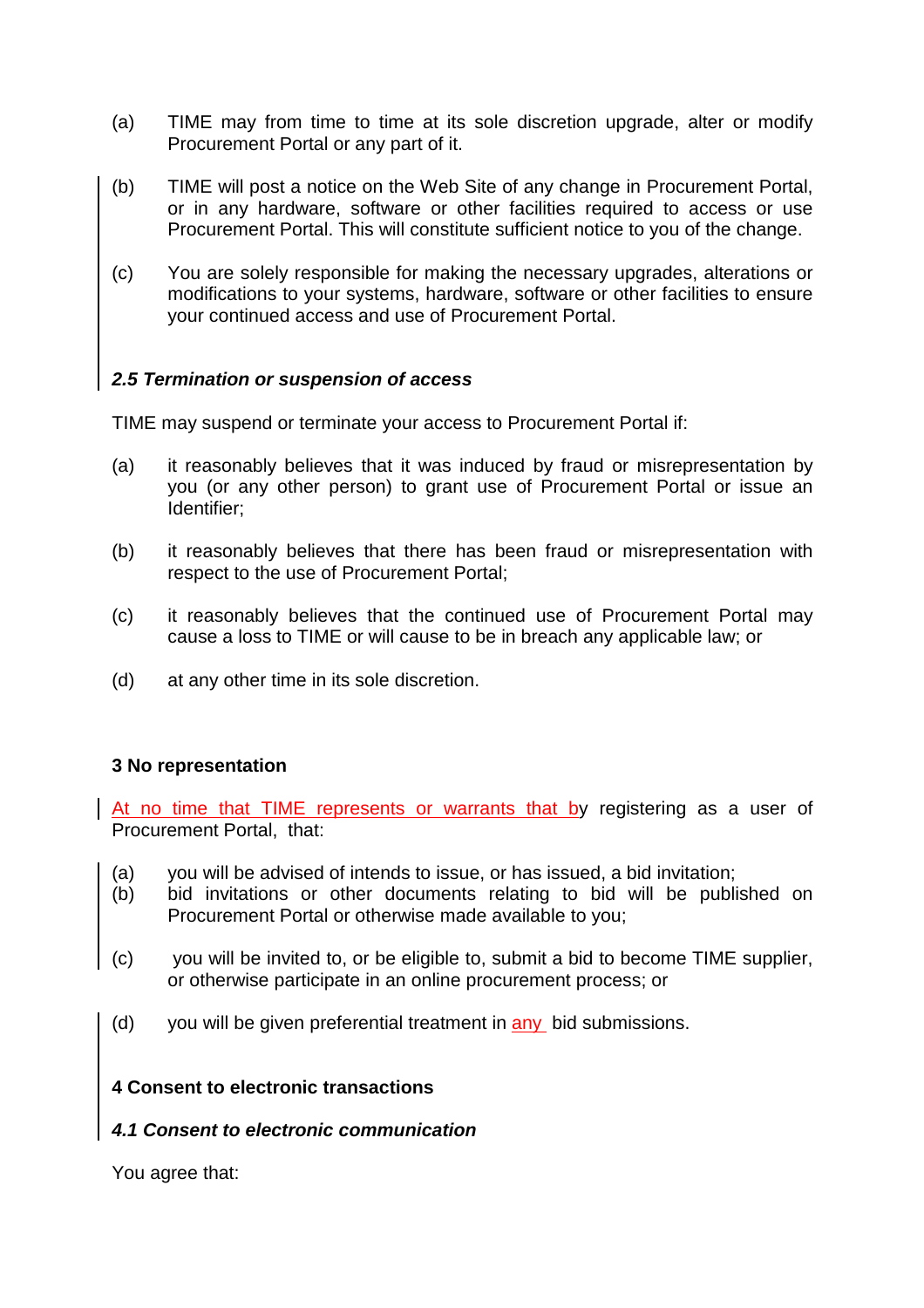- (a) TIME may from time to time at its sole discretion upgrade, alter or modify Procurement Portal or any part of it.
- (b) TIME will post a notice on the Web Site of any change in Procurement Portal, or in any hardware, software or other facilities required to access or use Procurement Portal. This will constitute sufficient notice to you of the change.
- (c) You are solely responsible for making the necessary upgrades, alterations or modifications to your systems, hardware, software or other facilities to ensure your continued access and use of Procurement Portal.

## **2.5 Termination or suspension of access**

TIME may suspend or terminate your access to Procurement Portal if:

- (a) it reasonably believes that it was induced by fraud or misrepresentation by you (or any other person) to grant use of Procurement Portal or issue an Identifier;
- (b) it reasonably believes that there has been fraud or misrepresentation with respect to the use of Procurement Portal;
- (c) it reasonably believes that the continued use of Procurement Portal may cause a loss to TIME or will cause to be in breach any applicable law; or
- (d) at any other time in its sole discretion.

## **3 No representation**

At no time that TIME represents or warrants that by registering as a user of Procurement Portal, that:

- (a) you will be advised of intends to issue, or has issued, a bid invitation;
- (b) bid invitations or other documents relating to bid will be published on Procurement Portal or otherwise made available to you;
- (c) you will be invited to, or be eligible to, submit a bid to become TIME supplier, or otherwise participate in an online procurement process; or
- (d) you will be given preferential treatment in any bid submissions.

## **4 Consent to electronic transactions**

#### **4.1 Consent to electronic communication**

You agree that: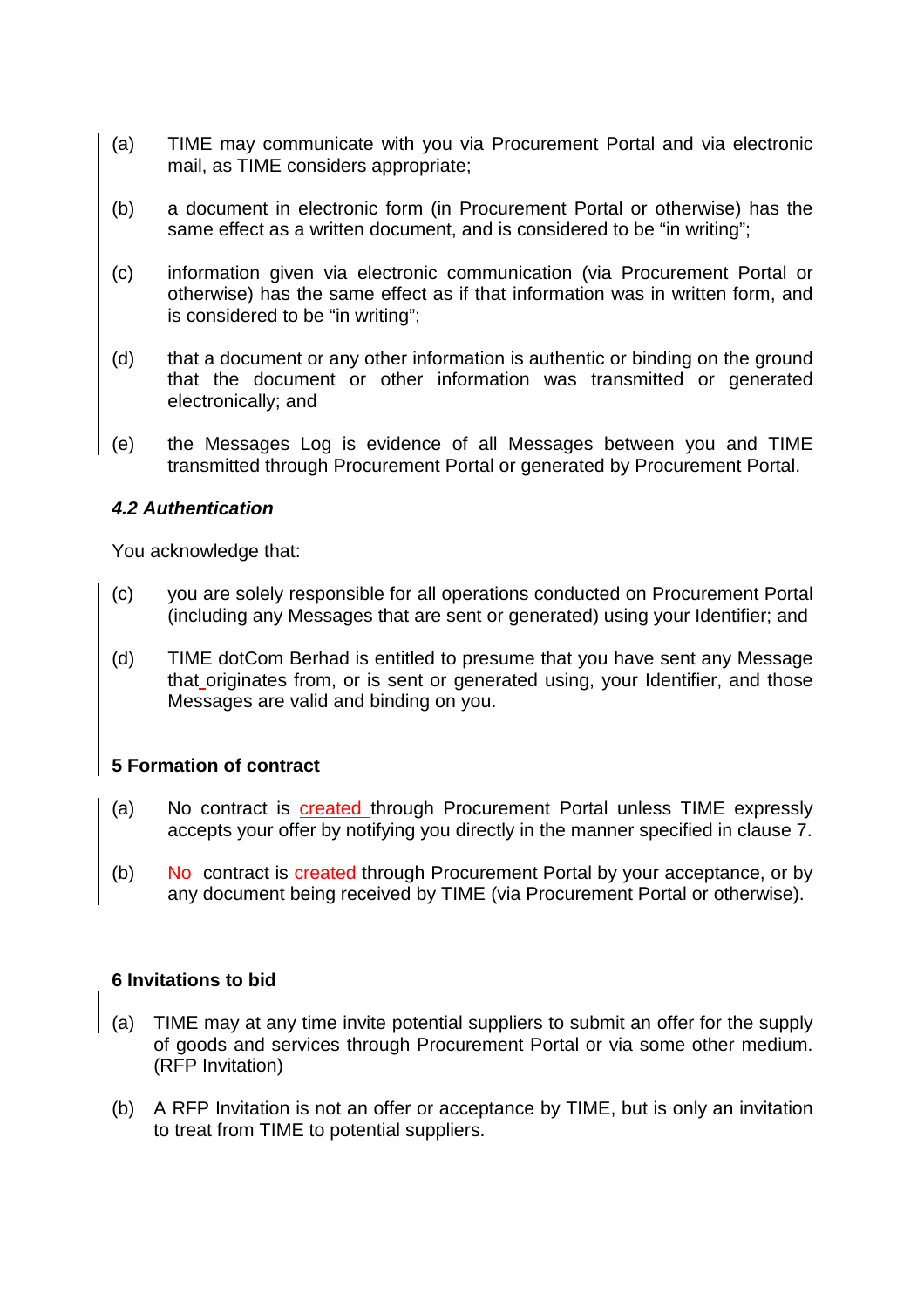- (a) TIME may communicate with you via Procurement Portal and via electronic mail, as TIME considers appropriate;
- (b) a document in electronic form (in Procurement Portal or otherwise) has the same effect as a written document, and is considered to be "in writing";
- (c) information given via electronic communication (via Procurement Portal or otherwise) has the same effect as if that information was in written form, and is considered to be "in writing";
- (d) that a document or any other information is authentic or binding on the ground that the document or other information was transmitted or generated electronically; and
- (e) the Messages Log is evidence of all Messages between you and TIME transmitted through Procurement Portal or generated by Procurement Portal.

## **4.2 Authentication**

You acknowledge that:

- (c) you are solely responsible for all operations conducted on Procurement Portal (including any Messages that are sent or generated) using your Identifier; and
- (d) TIME dotCom Berhad is entitled to presume that you have sent any Message that originates from, or is sent or generated using, your Identifier, and those Messages are valid and binding on you.

## **5 Formation of contract**

- (a) No contract is created through Procurement Portal unless TIME expressly accepts your offer by notifying you directly in the manner specified in clause 7.
- (b) No contract is created through Procurement Portal by your acceptance, or by any document being received by TIME (via Procurement Portal or otherwise).

## **6 Invitations to bid**

- (a) TIME may at any time invite potential suppliers to submit an offer for the supply of goods and services through Procurement Portal or via some other medium. (RFP Invitation)
- (b) A RFP Invitation is not an offer or acceptance by TIME, but is only an invitation to treat from TIME to potential suppliers.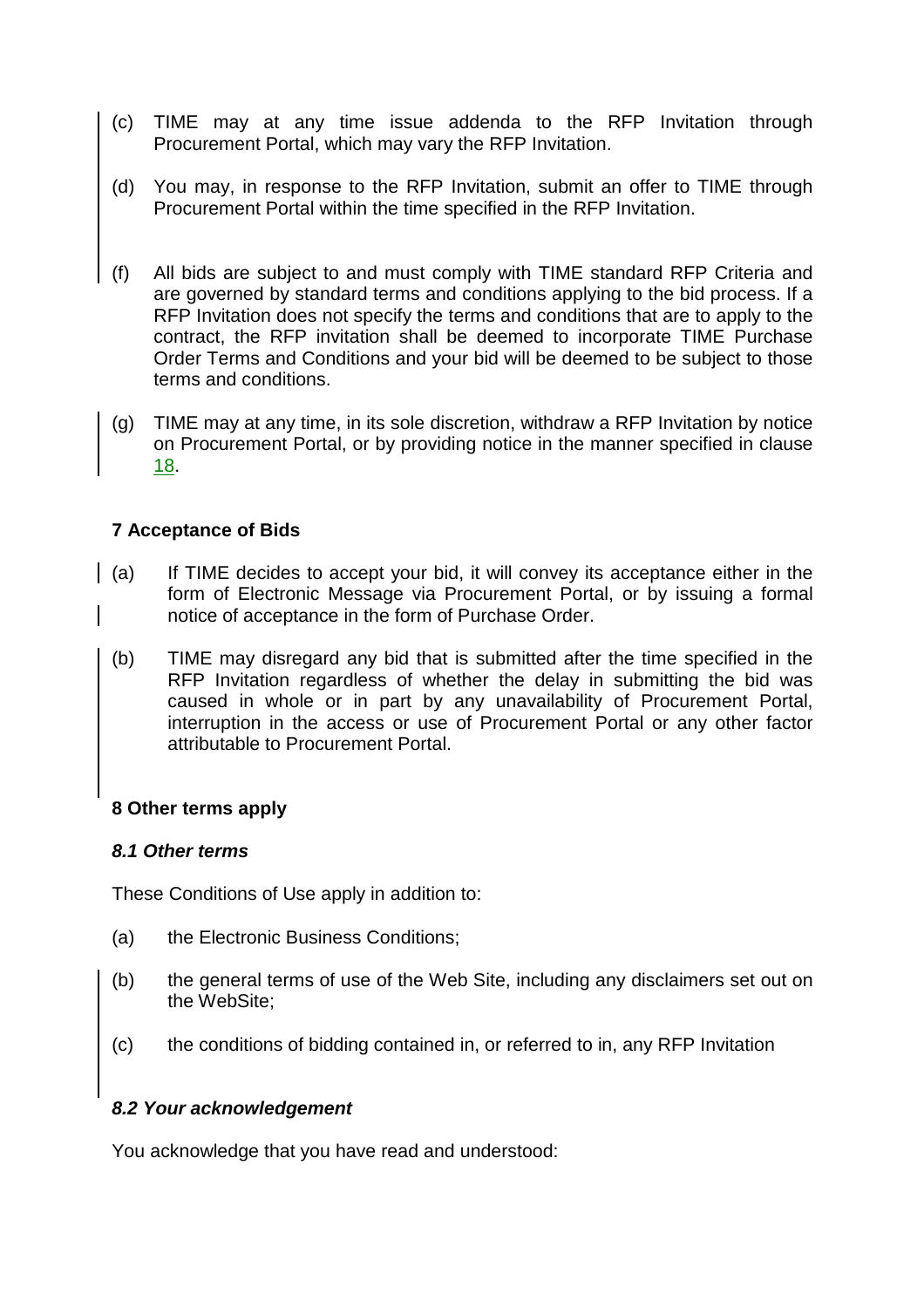- (c) TIME may at any time issue addenda to the RFP Invitation through Procurement Portal, which may vary the RFP Invitation.
- (d) You may, in response to the RFP Invitation, submit an offer to TIME through Procurement Portal within the time specified in the RFP Invitation.
- (f) All bids are subject to and must comply with TIME standard RFP Criteria and are governed by standard terms and conditions applying to the bid process. If a RFP Invitation does not specify the terms and conditions that are to apply to the contract, the RFP invitation shall be deemed to incorporate TIME Purchase Order Terms and Conditions and your bid will be deemed to be subject to those terms and conditions.
- (g) TIME may at any time, in its sole discretion, withdraw a RFP Invitation by notice on Procurement Portal, or by providing notice in the manner specified in clause 18.

# **7 Acceptance of Bids**

- (a) If TIME decides to accept your bid, it will convey its acceptance either in the form of Electronic Message via Procurement Portal, or by issuing a formal notice of acceptance in the form of Purchase Order.
- (b) TIME may disregard any bid that is submitted after the time specified in the RFP Invitation regardless of whether the delay in submitting the bid was caused in whole or in part by any unavailability of Procurement Portal, interruption in the access or use of Procurement Portal or any other factor attributable to Procurement Portal.

## **8 Other terms apply**

## **8.1 Other terms**

These Conditions of Use apply in addition to:

- (a) the Electronic Business Conditions;
- (b) the general terms of use of the Web Site, including any disclaimers set out on the WebSite;
- (c) the conditions of bidding contained in, or referred to in, any RFP Invitation

## **8.2 Your acknowledgement**

You acknowledge that you have read and understood: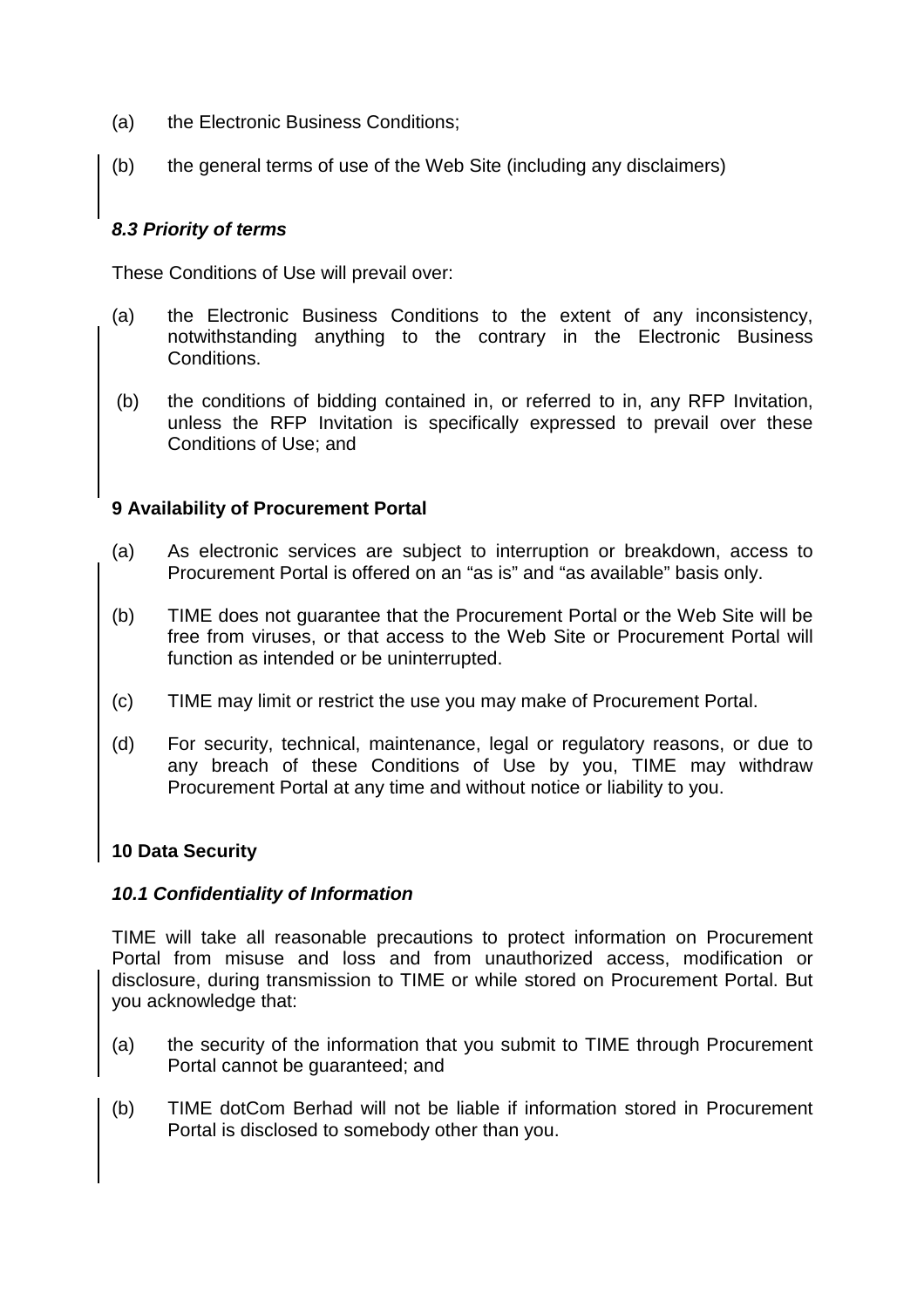- (a) the Electronic Business Conditions;
- (b) the general terms of use of the Web Site (including any disclaimers)

# **8.3 Priority of terms**

These Conditions of Use will prevail over:

- (a) the Electronic Business Conditions to the extent of any inconsistency, notwithstanding anything to the contrary in the Electronic Business Conditions.
- (b) the conditions of bidding contained in, or referred to in, any RFP Invitation, unless the RFP Invitation is specifically expressed to prevail over these Conditions of Use; and

# **9 Availability of Procurement Portal**

- (a) As electronic services are subject to interruption or breakdown, access to Procurement Portal is offered on an "as is" and "as available" basis only.
- (b) TIME does not guarantee that the Procurement Portal or the Web Site will be free from viruses, or that access to the Web Site or Procurement Portal will function as intended or be uninterrupted.
- (c) TIME may limit or restrict the use you may make of Procurement Portal.
- (d) For security, technical, maintenance, legal or regulatory reasons, or due to any breach of these Conditions of Use by you, TIME may withdraw Procurement Portal at any time and without notice or liability to you.

# **10 Data Security**

# **10.1 Confidentiality of Information**

TIME will take all reasonable precautions to protect information on Procurement Portal from misuse and loss and from unauthorized access, modification or disclosure, during transmission to TIME or while stored on Procurement Portal. But you acknowledge that:

- (a) the security of the information that you submit to TIME through Procurement Portal cannot be guaranteed; and
- (b) TIME dotCom Berhad will not be liable if information stored in Procurement Portal is disclosed to somebody other than you.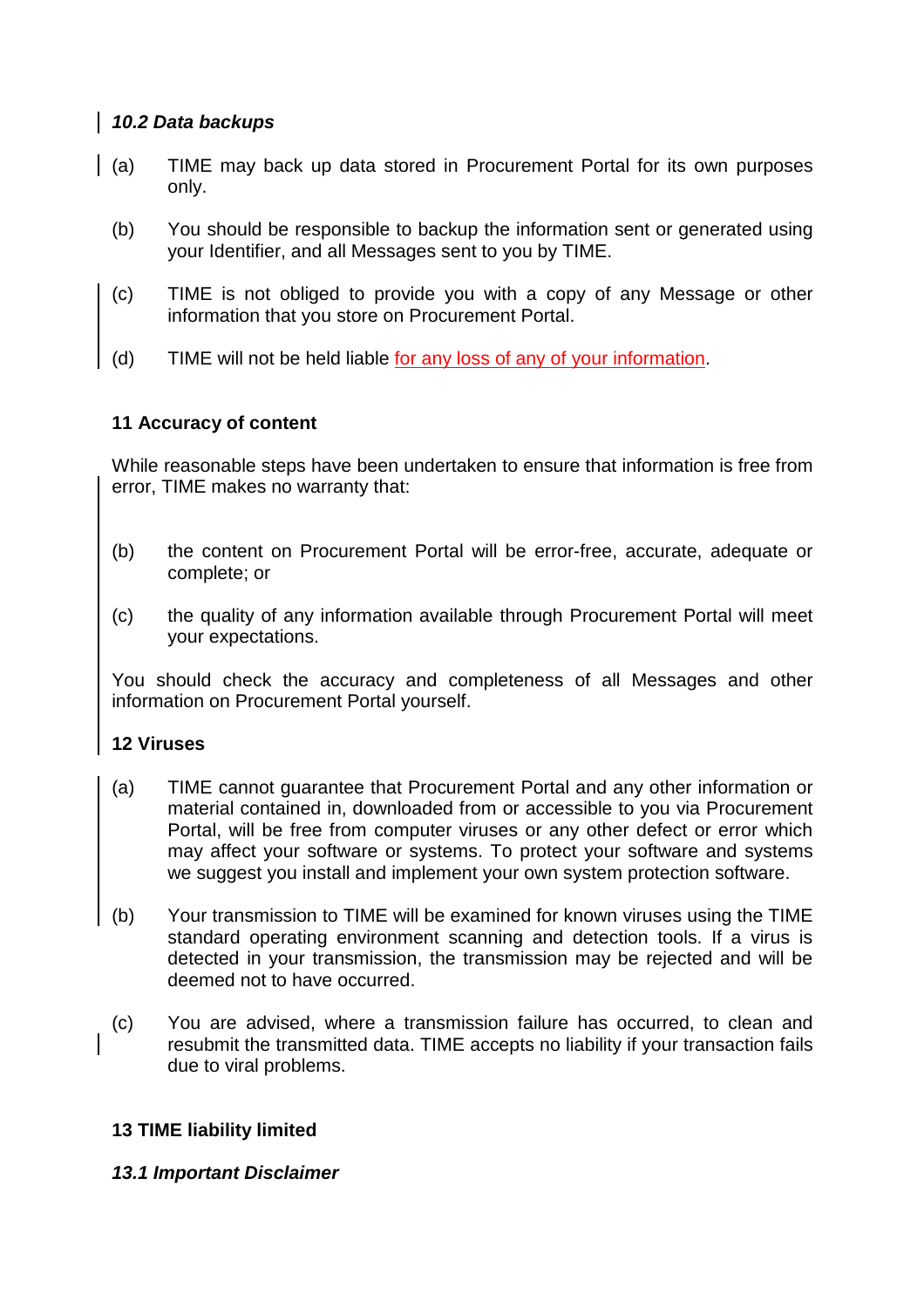## **10.2 Data backups**

- (a) TIME may back up data stored in Procurement Portal for its own purposes only.
	- (b) You should be responsible to backup the information sent or generated using your Identifier, and all Messages sent to you by TIME.
	- (c) TIME is not obliged to provide you with a copy of any Message or other information that you store on Procurement Portal.
	- (d) TIME will not be held liable for any loss of any of your information.

## **11 Accuracy of content**

While reasonable steps have been undertaken to ensure that information is free from error, TIME makes no warranty that:

- (b) the content on Procurement Portal will be error-free, accurate, adequate or complete; or
- (c) the quality of any information available through Procurement Portal will meet your expectations.

You should check the accuracy and completeness of all Messages and other information on Procurement Portal yourself.

## **12 Viruses**

- (a) TIME cannot guarantee that Procurement Portal and any other information or material contained in, downloaded from or accessible to you via Procurement Portal, will be free from computer viruses or any other defect or error which may affect your software or systems. To protect your software and systems we suggest you install and implement your own system protection software.
- (b) Your transmission to TIME will be examined for known viruses using the TIME standard operating environment scanning and detection tools. If a virus is detected in your transmission, the transmission may be rejected and will be deemed not to have occurred.
- (c) You are advised, where a transmission failure has occurred, to clean and resubmit the transmitted data. TIME accepts no liability if your transaction fails due to viral problems.

## **13 TIME liability limited**

## **13.1 Important Disclaimer**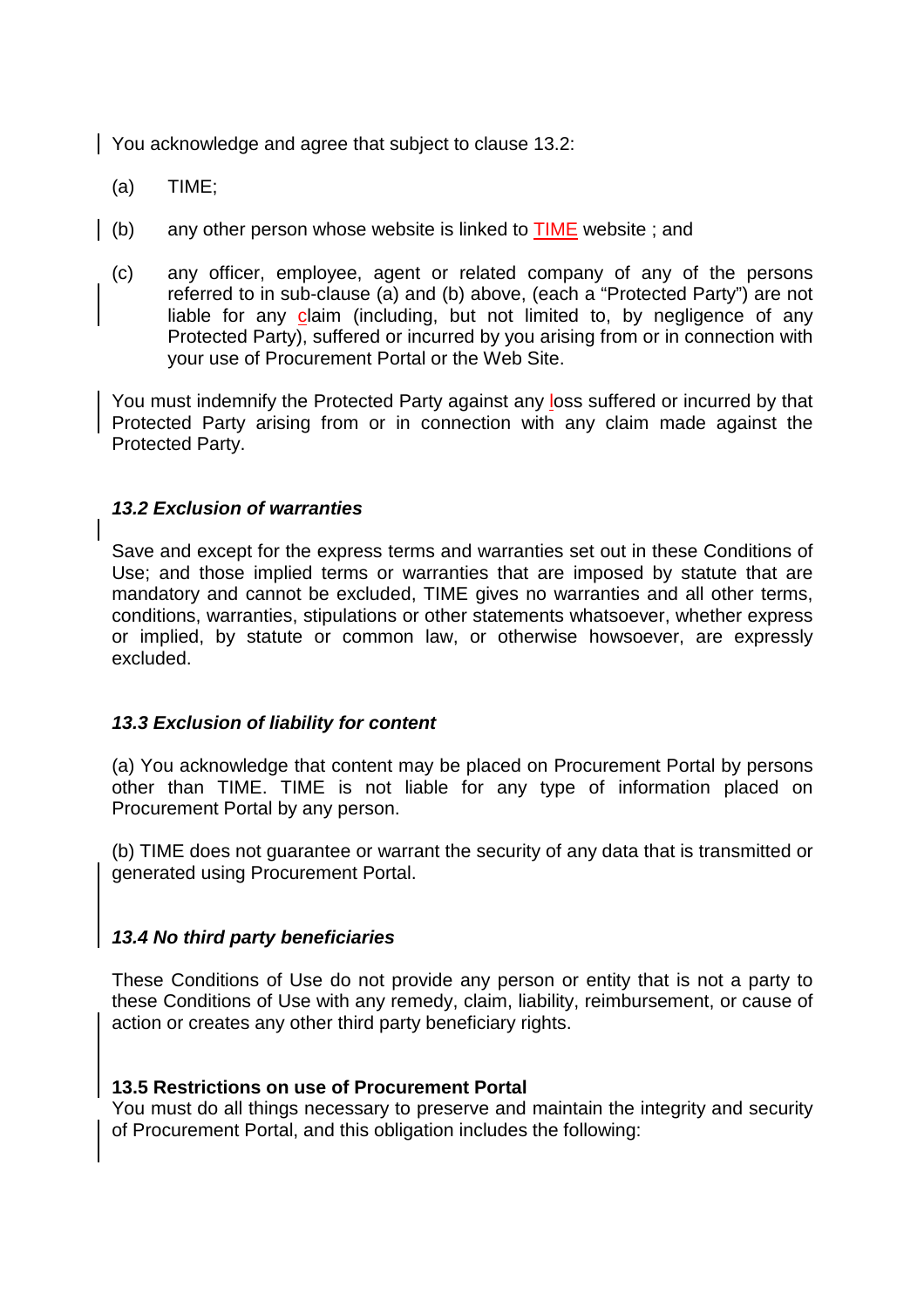You acknowledge and agree that subject to clause 13.2:

- (a) TIME;
- (b) any other person whose website is linked to  $TIME$  website ; and
- (c) any officer, employee, agent or related company of any of the persons referred to in sub-clause (a) and (b) above, (each a "Protected Party") are not liable for any claim (including, but not limited to, by negligence of any Protected Party), suffered or incurred by you arising from or in connection with your use of Procurement Portal or the Web Site.

You must indemnify the Protected Party against any loss suffered or incurred by that Protected Party arising from or in connection with any claim made against the Protected Party.

## **13.2 Exclusion of warranties**

Save and except for the express terms and warranties set out in these Conditions of Use; and those implied terms or warranties that are imposed by statute that are mandatory and cannot be excluded, TIME gives no warranties and all other terms, conditions, warranties, stipulations or other statements whatsoever, whether express or implied, by statute or common law, or otherwise howsoever, are expressly excluded.

## **13.3 Exclusion of liability for content**

(a) You acknowledge that content may be placed on Procurement Portal by persons other than TIME. TIME is not liable for any type of information placed on Procurement Portal by any person.

(b) TIME does not guarantee or warrant the security of any data that is transmitted or generated using Procurement Portal.

## **13.4 No third party beneficiaries**

These Conditions of Use do not provide any person or entity that is not a party to these Conditions of Use with any remedy, claim, liability, reimbursement, or cause of action or creates any other third party beneficiary rights.

## **13.5 Restrictions on use of Procurement Portal**

You must do all things necessary to preserve and maintain the integrity and security of Procurement Portal, and this obligation includes the following: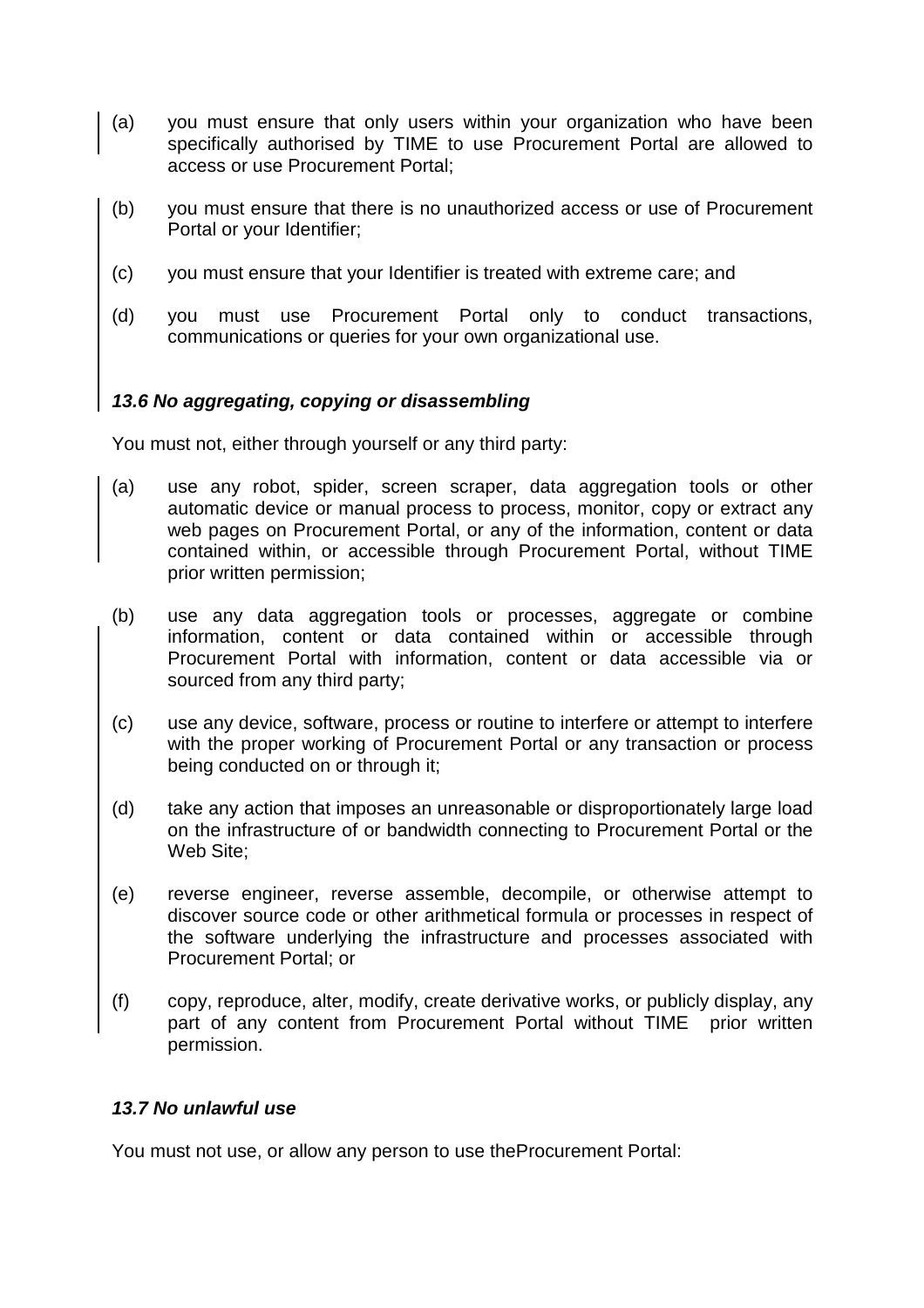- (a) you must ensure that only users within your organization who have been specifically authorised by TIME to use Procurement Portal are allowed to access or use Procurement Portal;
- (b) you must ensure that there is no unauthorized access or use of Procurement Portal or your Identifier;
- (c) you must ensure that your Identifier is treated with extreme care; and
- (d) you must use Procurement Portal only to conduct transactions, communications or queries for your own organizational use.

## **13.6 No aggregating, copying or disassembling**

You must not, either through yourself or any third party:

- (a) use any robot, spider, screen scraper, data aggregation tools or other automatic device or manual process to process, monitor, copy or extract any web pages on Procurement Portal, or any of the information, content or data contained within, or accessible through Procurement Portal, without TIME prior written permission;
- (b) use any data aggregation tools or processes, aggregate or combine information, content or data contained within or accessible through Procurement Portal with information, content or data accessible via or sourced from any third party;
- (c) use any device, software, process or routine to interfere or attempt to interfere with the proper working of Procurement Portal or any transaction or process being conducted on or through it;
- (d) take any action that imposes an unreasonable or disproportionately large load on the infrastructure of or bandwidth connecting to Procurement Portal or the Web Site;
- (e) reverse engineer, reverse assemble, decompile, or otherwise attempt to discover source code or other arithmetical formula or processes in respect of the software underlying the infrastructure and processes associated with Procurement Portal; or
- (f) copy, reproduce, alter, modify, create derivative works, or publicly display, any part of any content from Procurement Portal without TIME prior written permission.

## **13.7 No unlawful use**

You must not use, or allow any person to use theProcurement Portal: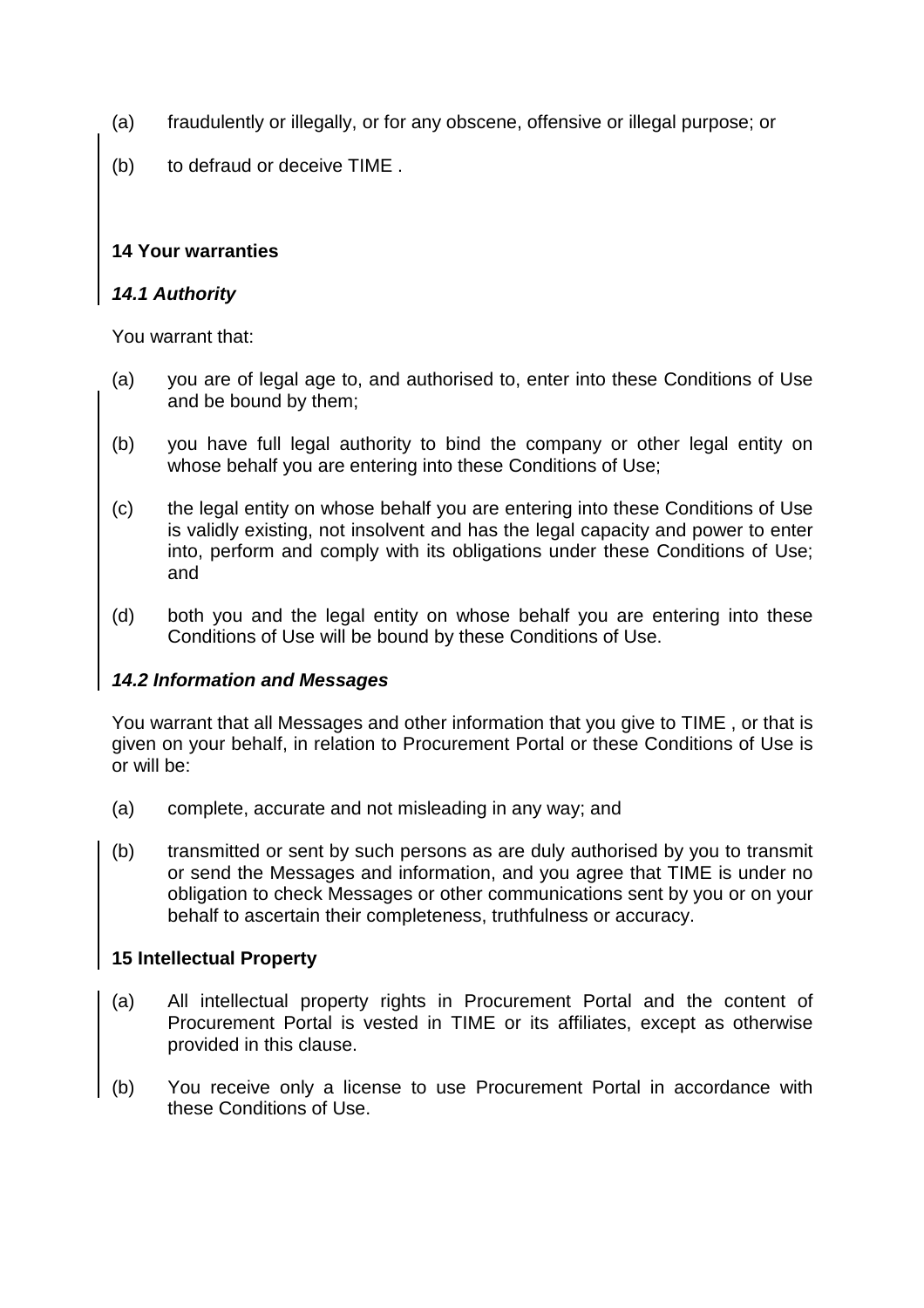- (a) fraudulently or illegally, or for any obscene, offensive or illegal purpose; or
- (b) to defraud or deceive TIME .

# **14 Your warranties**

# **14.1 Authority**

You warrant that:

- (a) you are of legal age to, and authorised to, enter into these Conditions of Use and be bound by them;
- (b) you have full legal authority to bind the company or other legal entity on whose behalf you are entering into these Conditions of Use;
- (c) the legal entity on whose behalf you are entering into these Conditions of Use is validly existing, not insolvent and has the legal capacity and power to enter into, perform and comply with its obligations under these Conditions of Use; and
- (d) both you and the legal entity on whose behalf you are entering into these Conditions of Use will be bound by these Conditions of Use.

# **14.2 Information and Messages**

You warrant that all Messages and other information that you give to TIME , or that is given on your behalf, in relation to Procurement Portal or these Conditions of Use is or will be:

- (a) complete, accurate and not misleading in any way; and
- (b) transmitted or sent by such persons as are duly authorised by you to transmit or send the Messages and information, and you agree that TIME is under no obligation to check Messages or other communications sent by you or on your behalf to ascertain their completeness, truthfulness or accuracy.

# **15 Intellectual Property**

- (a) All intellectual property rights in Procurement Portal and the content of Procurement Portal is vested in TIME or its affiliates, except as otherwise provided in this clause.
- (b) You receive only a license to use Procurement Portal in accordance with these Conditions of Use.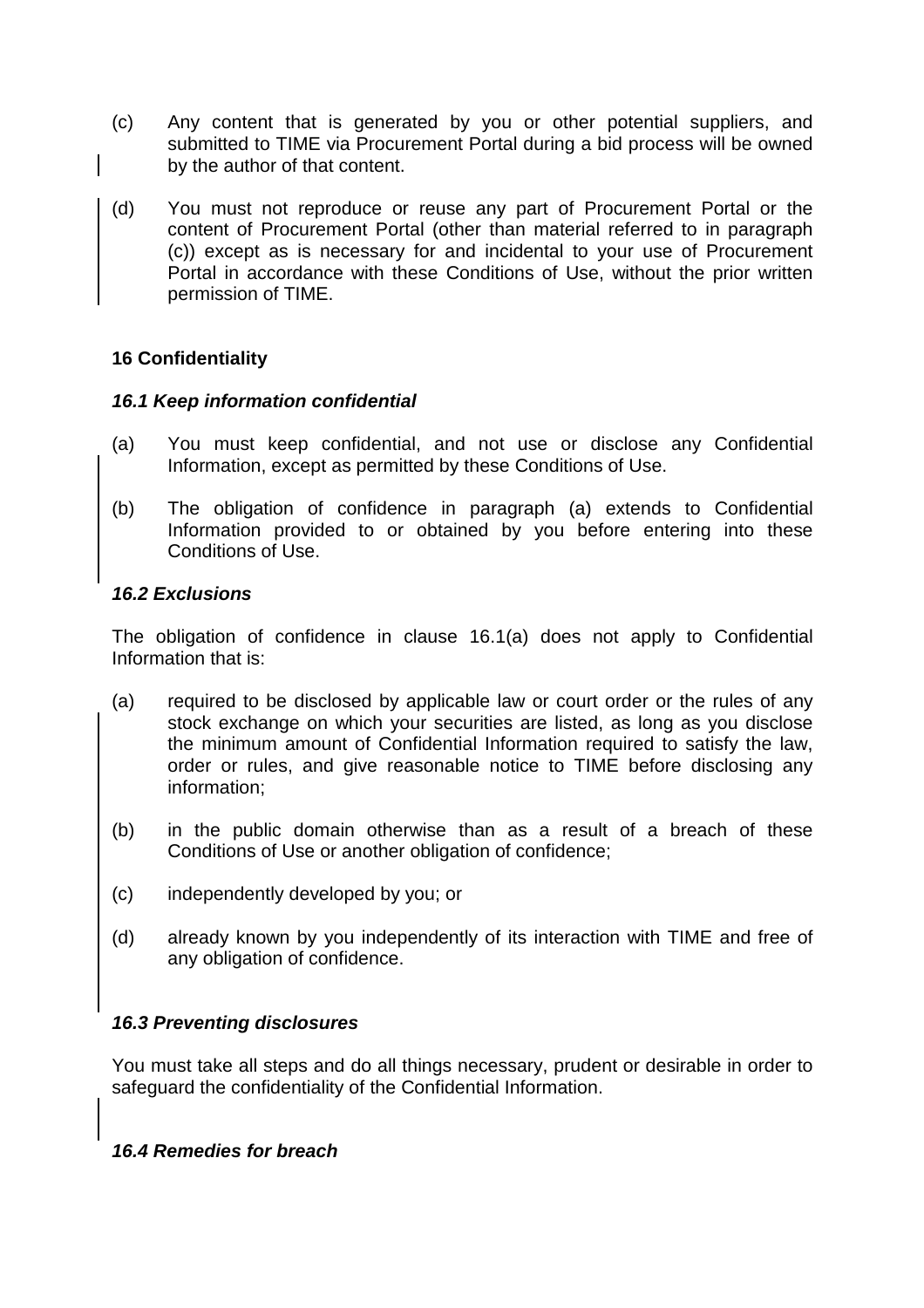- (c) Any content that is generated by you or other potential suppliers, and submitted to TIME via Procurement Portal during a bid process will be owned by the author of that content.
- (d) You must not reproduce or reuse any part of Procurement Portal or the content of Procurement Portal (other than material referred to in paragraph (c)) except as is necessary for and incidental to your use of Procurement Portal in accordance with these Conditions of Use, without the prior written permission of TIME.

## **16 Confidentiality**

## **16.1 Keep information confidential**

- (a) You must keep confidential, and not use or disclose any Confidential Information, except as permitted by these Conditions of Use.
- (b) The obligation of confidence in paragraph (a) extends to Confidential Information provided to or obtained by you before entering into these Conditions of Use.

## **16.2 Exclusions**

The obligation of confidence in clause 16.1(a) does not apply to Confidential Information that is:

- (a) required to be disclosed by applicable law or court order or the rules of any stock exchange on which your securities are listed, as long as you disclose the minimum amount of Confidential Information required to satisfy the law, order or rules, and give reasonable notice to TIME before disclosing any information;
- (b) in the public domain otherwise than as a result of a breach of these Conditions of Use or another obligation of confidence;
- (c) independently developed by you; or
- (d) already known by you independently of its interaction with TIME and free of any obligation of confidence.

## **16.3 Preventing disclosures**

You must take all steps and do all things necessary, prudent or desirable in order to safeguard the confidentiality of the Confidential Information.

## **16.4 Remedies for breach**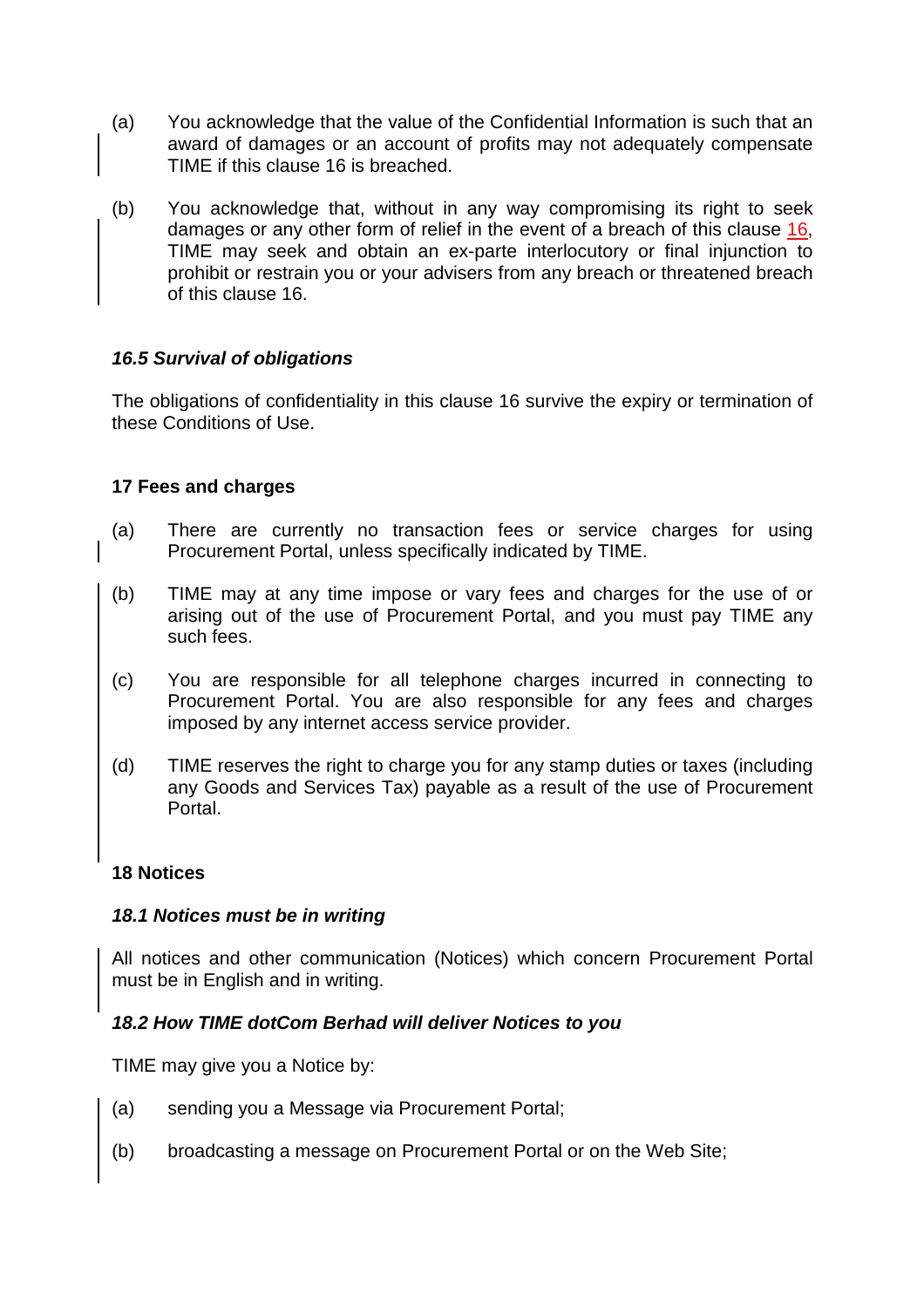- (a) You acknowledge that the value of the Confidential Information is such that an award of damages or an account of profits may not adequately compensate TIME if this clause 16 is breached.
- (b) You acknowledge that, without in any way compromising its right to seek damages or any other form of relief in the event of a breach of this clause 16, TIME may seek and obtain an ex-parte interlocutory or final injunction to prohibit or restrain you or your advisers from any breach or threatened breach of this clause 16.

## **16.5 Survival of obligations**

The obligations of confidentiality in this clause 16 survive the expiry or termination of these Conditions of Use.

## **17 Fees and charges**

- (a) There are currently no transaction fees or service charges for using Procurement Portal, unless specifically indicated by TIME.
- (b) TIME may at any time impose or vary fees and charges for the use of or arising out of the use of Procurement Portal, and you must pay TIME any such fees.
- (c) You are responsible for all telephone charges incurred in connecting to Procurement Portal. You are also responsible for any fees and charges imposed by any internet access service provider.
- (d) TIME reserves the right to charge you for any stamp duties or taxes (including any Goods and Services Tax) payable as a result of the use of Procurement Portal.

## **18 Notices**

## **18.1 Notices must be in writing**

All notices and other communication (Notices) which concern Procurement Portal must be in English and in writing.

## **18.2 How TIME dotCom Berhad will deliver Notices to you**

TIME may give you a Notice by:

- (a) sending you a Message via Procurement Portal;
- (b) broadcasting a message on Procurement Portal or on the Web Site;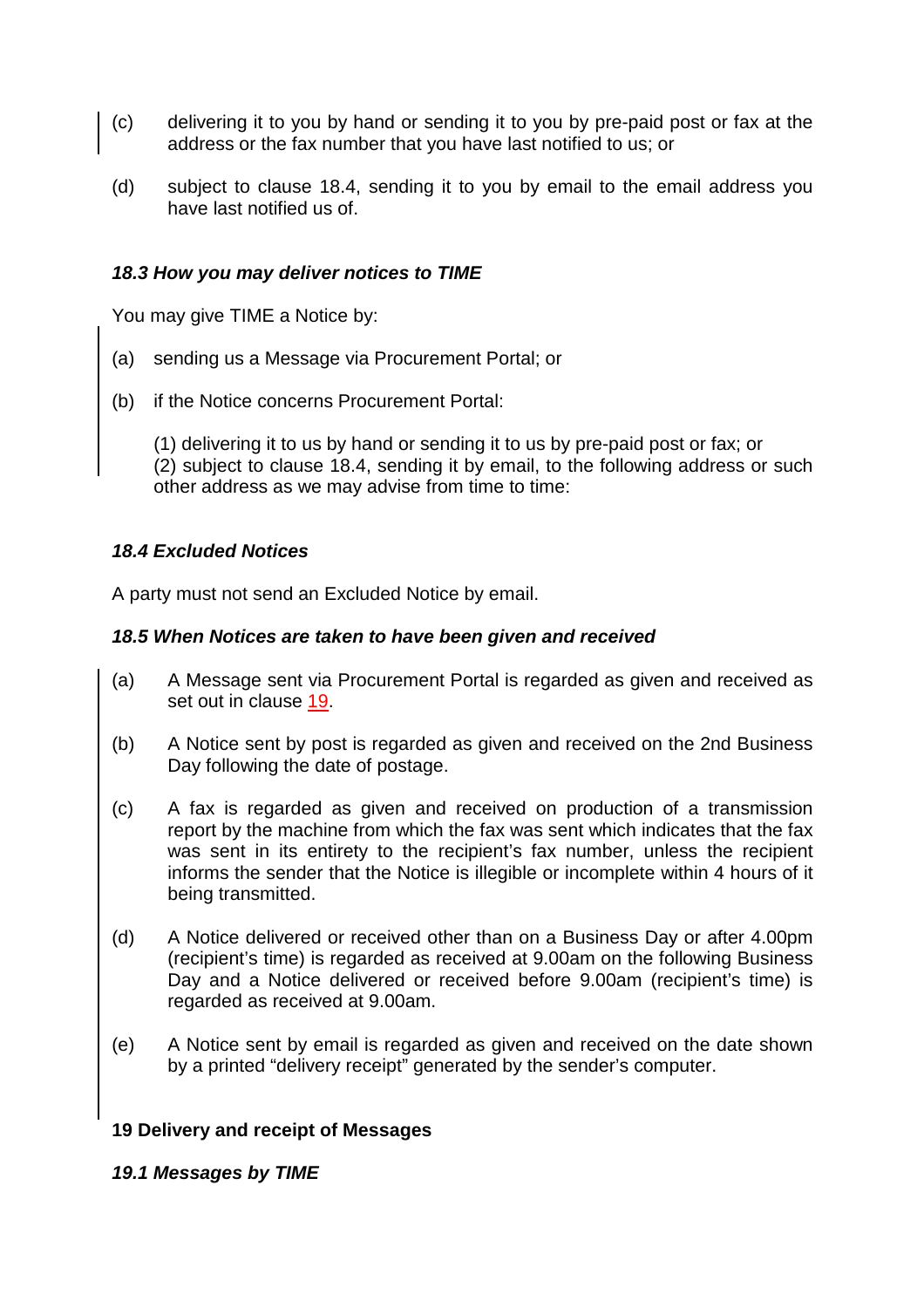- (c) delivering it to you by hand or sending it to you by pre-paid post or fax at the address or the fax number that you have last notified to us; or
- (d) subject to clause 18.4, sending it to you by email to the email address you have last notified us of.

## **18.3 How you may deliver notices to TIME**

You may give TIME a Notice by:

- (a) sending us a Message via Procurement Portal; or
- (b) if the Notice concerns Procurement Portal:

(1) delivering it to us by hand or sending it to us by pre-paid post or fax; or (2) subject to clause 18.4, sending it by email, to the following address or such other address as we may advise from time to time:

## **18.4 Excluded Notices**

A party must not send an Excluded Notice by email.

#### **18.5 When Notices are taken to have been given and received**

- (a) A Message sent via Procurement Portal is regarded as given and received as set out in clause 19.
- (b) A Notice sent by post is regarded as given and received on the 2nd Business Day following the date of postage.
- (c) A fax is regarded as given and received on production of a transmission report by the machine from which the fax was sent which indicates that the fax was sent in its entirety to the recipient's fax number, unless the recipient informs the sender that the Notice is illegible or incomplete within 4 hours of it being transmitted.
- (d) A Notice delivered or received other than on a Business Day or after 4.00pm (recipient's time) is regarded as received at 9.00am on the following Business Day and a Notice delivered or received before 9.00am (recipient's time) is regarded as received at 9.00am.
- (e) A Notice sent by email is regarded as given and received on the date shown by a printed "delivery receipt" generated by the sender's computer.

#### **19 Delivery and receipt of Messages**

#### **19.1 Messages by TIME**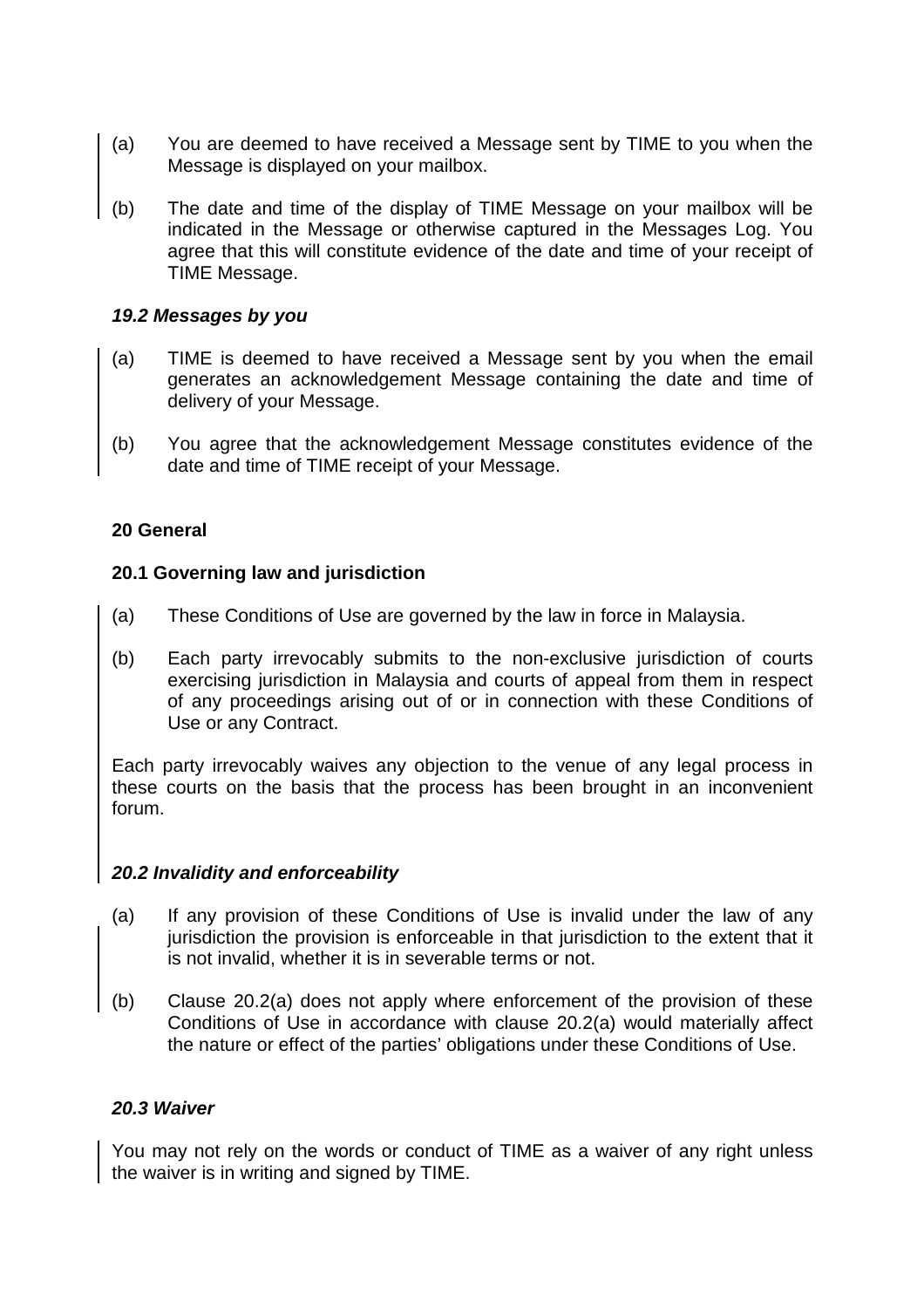- (a) You are deemed to have received a Message sent by TIME to you when the Message is displayed on your mailbox.
- (b) The date and time of the display of TIME Message on your mailbox will be indicated in the Message or otherwise captured in the Messages Log. You agree that this will constitute evidence of the date and time of your receipt of TIME Message.

#### **19.2 Messages by you**

- (a) TIME is deemed to have received a Message sent by you when the email generates an acknowledgement Message containing the date and time of delivery of your Message.
- (b) You agree that the acknowledgement Message constitutes evidence of the date and time of TIME receipt of your Message.

#### **20 General**

#### **20.1 Governing law and jurisdiction**

- (a) These Conditions of Use are governed by the law in force in Malaysia.
- (b) Each party irrevocably submits to the non-exclusive jurisdiction of courts exercising jurisdiction in Malaysia and courts of appeal from them in respect of any proceedings arising out of or in connection with these Conditions of Use or any Contract.

Each party irrevocably waives any objection to the venue of any legal process in these courts on the basis that the process has been brought in an inconvenient forum.

#### **20.2 Invalidity and enforceability**

- (a) If any provision of these Conditions of Use is invalid under the law of any jurisdiction the provision is enforceable in that jurisdiction to the extent that it is not invalid, whether it is in severable terms or not.
- (b) Clause 20.2(a) does not apply where enforcement of the provision of these Conditions of Use in accordance with clause 20.2(a) would materially affect the nature or effect of the parties' obligations under these Conditions of Use.

## **20.3 Waiver**

You may not rely on the words or conduct of TIME as a waiver of any right unless the waiver is in writing and signed by TIME.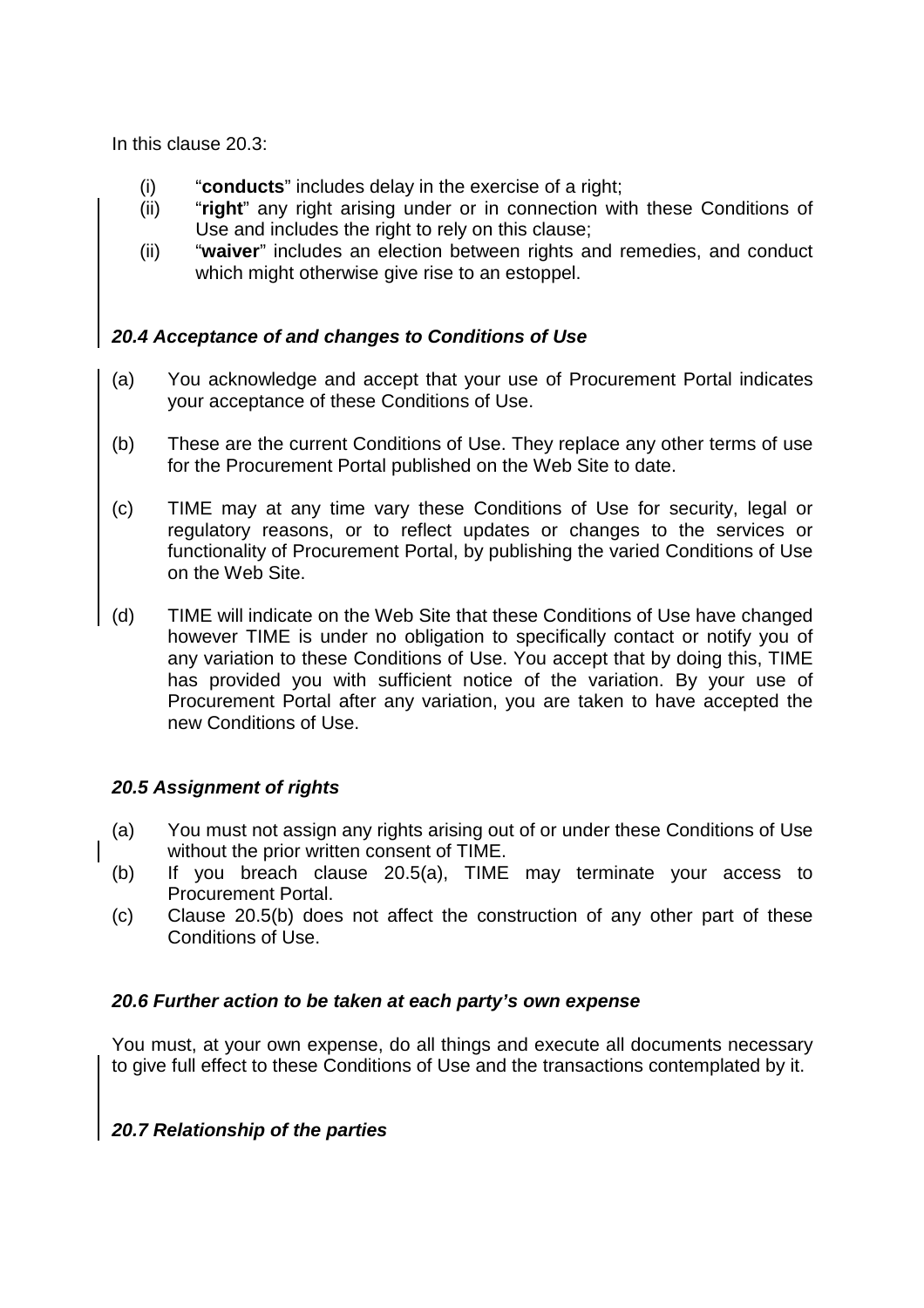In this clause 20.3:

- (i) "**conducts**" includes delay in the exercise of a right;
- (ii) "**right**" any right arising under or in connection with these Conditions of Use and includes the right to rely on this clause;
- (ii) "**waiver**" includes an election between rights and remedies, and conduct which might otherwise give rise to an estoppel.

# **20.4 Acceptance of and changes to Conditions of Use**

- (a) You acknowledge and accept that your use of Procurement Portal indicates your acceptance of these Conditions of Use.
- (b) These are the current Conditions of Use. They replace any other terms of use for the Procurement Portal published on the Web Site to date.
- (c) TIME may at any time vary these Conditions of Use for security, legal or regulatory reasons, or to reflect updates or changes to the services or functionality of Procurement Portal, by publishing the varied Conditions of Use on the Web Site.
- (d) TIME will indicate on the Web Site that these Conditions of Use have changed however TIME is under no obligation to specifically contact or notify you of any variation to these Conditions of Use. You accept that by doing this, TIME has provided you with sufficient notice of the variation. By your use of Procurement Portal after any variation, you are taken to have accepted the new Conditions of Use.

# **20.5 Assignment of rights**

- (a) You must not assign any rights arising out of or under these Conditions of Use without the prior written consent of TIME.
- (b) If you breach clause 20.5(a), TIME may terminate your access to Procurement Portal.
- (c) Clause 20.5(b) does not affect the construction of any other part of these Conditions of Use.

## **20.6 Further action to be taken at each party's own expense**

You must, at your own expense, do all things and execute all documents necessary to give full effect to these Conditions of Use and the transactions contemplated by it.

## **20.7 Relationship of the parties**